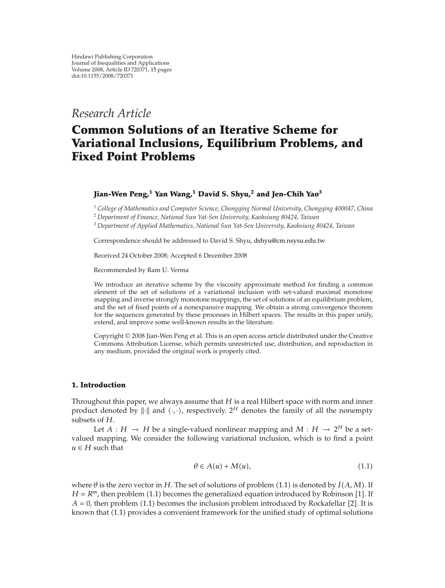*Research Article*

# **Common Solutions of an Iterative Scheme for Variational Inclusions, Equilibrium Problems, and Fixed Point Problems**

## **Jian-Wen Peng,<sup>1</sup> Yan Wang,<sup>1</sup> David S. Shyu,<sup>2</sup> and Jen-Chih Yao3**

*<sup>1</sup> College of Mathematics and Computer Science, Chongqing Normal University, Chongqing 400047, China*

*<sup>2</sup> Department of Finance, National Sun Yat-Sen University, Kaohsiung 80424, Taiwan*

*<sup>3</sup> Department of Applied Mathematics, National Sun Yat-Sen University, Kaohsiung 80424, Taiwan*

Correspondence should be addressed to David S. Shyu, dshyu@cm.nsysu.edu.tw

Received 24 October 2008; Accepted 6 December 2008

Recommended by Ram U. Verma

We introduce an iterative scheme by the viscosity approximate method for finding a common element of the set of solutions of a variational inclusion with set-valued maximal monotone mapping and inverse strongly monotone mappings, the set of solutions of an equilibrium problem, and the set of fixed points of a nonexpansive mapping. We obtain a strong convergence theorem for the sequences generated by these processes in Hilbert spaces. The results in this paper unify, extend, and improve some well-known results in the literature.

Copyright © 2008 Jian-Wen Peng et al. This is an open access article distributed under the Creative Commons Attribution License, which permits unrestricted use, distribution, and reproduction in any medium, provided the original work is properly cited.

#### **1. Introduction**

Throughout this paper, we always assume that *H* is a real Hilbert space with norm and inner product denoted by  $\|\cdot\|$  and  $\langle \cdot, \cdot \rangle$ , respectively. 2<sup>*H*</sup> denotes the family of all the nonempty subsets of H subsets of *H*.

Let  $A : H \to H$  be a single-valued nonlinear mapping and  $M : H \to 2^H$  be a setvalued mapping. We consider the following variational inclusion, which is to find a point  $u \in H$  such that

$$
\theta \in A(u) + M(u), \tag{1.1}
$$

where  $\theta$  is the zero vector in *H*. The set of solutions of problem (1.1) is denoted by  $I(A, M)$ . If  $H - R^m$  then problem (1.1) becomes the generalized equation introduced by Bobinson [1]. If  $H = R^m$ , then problem (1.1) becomes the generalized equation introduced by Robinson [1]. If  $A = 0$ , then problem (1.1) becomes the inclusion problem introduced by Rockafellar [2]. It is  $A = 0$ , then problem  $(1.1)$  becomes the inclusion problem introduced by Rockafellar  $[2]$ . It is<br>known that  $(1.1)$  provides a convenient framework for the unified study of optimal solutions known that (1.1) provides a convenient framework for the unified study of optimal solutions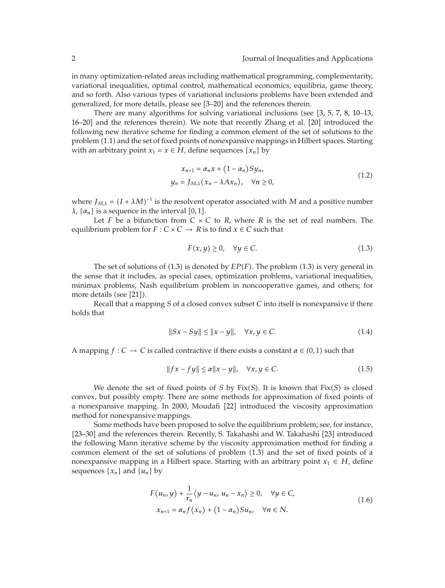in many optimization-related areas including mathematical programming, complementarity, variational inequalities, optimal control, mathematical economics, equilibria, game theory, and so forth. Also various types of variational inclusions problems have been extended and generalized, for more details, please see [3-20] and the references therein.

There are many algorithms for solving variational inclusions (see [3, 5, 7, 8, 10–13, 16–20] and the references therein). We note that recently Zhang et al. [20] introduced the following new iterative scheme for finding a common element of the set of solutions to the problem (1.1) and the set of fixed points of nonexpansive mappings in Hilbert spaces. Starting with an arbitrary point  $x_1 = x \in H$ , define sequences  $\{x_n\}$  by

$$
x_{n+1} = \alpha_n x + (1 - \alpha_n) S y_n,
$$
  
\n
$$
y_n = J_{M,\lambda} (x_n - \lambda A x_n), \quad \forall n \ge 0,
$$
\n(1.2)

where  $J_{M,\lambda} = (I + \lambda M)^{-1}$  is the resolvent operator associated with *M* and a positive number *λ*,  $\{\alpha_n\}$  is a sequence in the interval [0, 1].

Let *F* be a bifunction from  $C \times C$  to *R*, where *R* is the set of real numbers. The equilibrium problem for  $F : C \times C \rightarrow R$  is to find  $x \in C$  such that

$$
F(x, y) \ge 0, \quad \forall y \in C. \tag{1.3}
$$

The set of solutions of  $(1.3)$  is denoted by  $EP(F)$ . The problem  $(1.3)$  is very general in  $\epsilon$  is that it includes as special cases, optimization problems, variational inequalities the sense that it includes, as special cases, optimization problems, variational inequalities, minimax problems, Nash equilibrium problem in noncooperative games, and others; for more details (see [21]).

Recall that a mapping *S* of a closed convex subset *C* into itself is nonexpansive if there holds that

$$
||Sx - Sy|| \le ||x - y||, \quad \forall x, y \in C.
$$
 (1.4)

A mapping  $f: C \to C$  is called contractive if there exists a constant  $\alpha \in (0,1)$  such that

$$
||fx - fy|| \le \alpha ||x - y||, \quad \forall x, y \in C.
$$
 (1.5)

We denote the set of fixed points of *S* by Fix(*S*). It is known that  $Fix(S)$  is closed convex, but possibly empty. There are some methods for approximation of fixed points of a nonexpansive mapping. In 2000, Moudafi [22] introduced the viscosity approximation method for nonexpansive mappings.

Some methods have been proposed to solve the equilibrium problem; see, for instance, [23-30] and the references therein. Recently, S. Takahashi and W. Takahashi [23] introduced the following Mann iterative scheme by the viscosity approximation method for finding a common element of the set of solutions of problem  $(1.3)$  and the set of fixed points of a nonexpansive mapping in a Hilbert space. Starting with an arbitrary point  $x_1 \in H$ , define sequences  $\{x_n\}$  and  $\{u_n\}$  by

$$
F(u_n, y) + \frac{1}{r_n} \langle y - u_n, u_n - x_n \rangle \ge 0, \quad \forall y \in C,
$$
  

$$
x_{n+1} = \alpha_n f(x_n) + (1 - \alpha_n) S u_n, \quad \forall n \in N.
$$
 (1.6)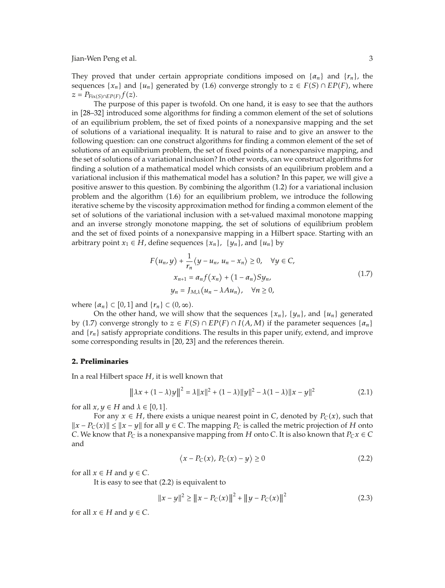They proved that under certain appropriate conditions imposed on  $\{\alpha_n\}$  and  $\{r_n\}$ , the sequences  $\{x_n\}$  and  $\{u_n\}$  generated by (1.6) converge strongly to  $z \in F(S) \cap EP(F)$ , where  $z = P_{\text{max}}(f(z))$  $z = P_{\text{Fix}(S) \cap \text{EP}(F)} f(z).$ <br>The purpose

The purpose of this paper is twofold. On one hand, it is easy to see that the authors in 28–32 introduced some algorithms for finding a common element of the set of solutions of an equilibrium problem, the set of fixed points of a nonexpansive mapping and the set of solutions of a variational inequality. It is natural to raise and to give an answer to the following question: can one construct algorithms for finding a common element of the set of solutions of an equilibrium problem, the set of fixed points of a nonexpansive mapping, and the set of solutions of a variational inclusion? In other words, can we construct algorithms for finding a solution of a mathematical model which consists of an equilibrium problem and a variational inclusion if this mathematical model has a solution? In this paper, we will give a positive answer to this question. By combining the algorithm (1.2) for a variational inclusion problem and the algorithm  $(1.6)$  for an equilibrium problem, we introduce the following iterative scheme by the viscosity approximation method for finding a common element of the set of solutions of the variational inclusion with a set-valued maximal monotone mapping and an inverse strongly monotone mapping, the set of solutions of equilibrium problem and the set of fixed points of a nonexpansive mapping in a Hilbert space. Starting with an arbitrary point  $x_1 \in H$ , define sequences  $\{x_n\}$ ,  $\{y_n\}$ , and  $\{u_n\}$  by

$$
F(u_n, y) + \frac{1}{r_n} \langle y - u_n, u_n - x_n \rangle \ge 0, \quad \forall y \in C,
$$
  

$$
x_{n+1} = \alpha_n f(x_n) + (1 - \alpha_n) S y_n,
$$
  

$$
y_n = J_{M,\lambda} (u_n - \lambda A u_n), \quad \forall n \ge 0,
$$
 (1.7)

where  $\{\alpha_n\} \subset [0,1]$  and  $\{r_n\} \subset (0,\infty)$ .<br>On the other hand, we will sh

On the other hand, we will show that the sequences  $\{x_n\}$ ,  $\{y_n\}$ , and  $\{u_n\}$  generated by (1.7) converge strongly to  $z \in F(S) \cap EP(F) \cap I(A, M)$  if the parameter sequences  $\{a_n\}$ <br>and  $\{r\}$  satisfy appropriate conditions. The results in this paper unity extend, and improve and  $\{r_n\}$  satisfy appropriate conditions. The results in this paper unify, extend, and improve some corresponding results in [20, 23] and the references therein.

#### **2. Preliminaries**

In a real Hilbert space *H*, it is well known that

$$
||\lambda x + (1 - \lambda)y||^2 = \lambda ||x||^2 + (1 - \lambda)||y||^2 - \lambda(1 - \lambda)||x - y||^2
$$
 (2.1)

for all  $x, y \in H$  and  $\lambda \in [0, 1]$ .

For any  $x \in H$ , there exists a unique nearest point in *C*, denoted by  $P_C(x)$ , such that  $\{x \in V : |x - y| \}$  for all  $y \in C$ . The mapping  $P_C$  is called the metric projection of H onto  $||x - P_C(x)|| \le ||x - y||$  for all *y* ∈ *C*. The mapping *P<sub>C</sub>* is called the metric projection of *H* onto *C*. We know that *P<sub>2</sub> x* ∈ *C*. *C*. We know that  $P_C$  is a nonexpansive mapping from *H* onto *C*. It is also known that  $P_Cx \in C$ and

$$
\langle x - P_C(x), P_C(x) - y \rangle \ge 0
$$
\n(2.2)

for all  $x \in H$  and  $y \in C$ .

It is easy to see that (2.2) is equivalent to

$$
||x - y||^2 \ge ||x - P_C(x)||^2 + ||y - P_C(x)||^2
$$
\n(2.3)

for all  $x \in H$  and  $y \in C$ .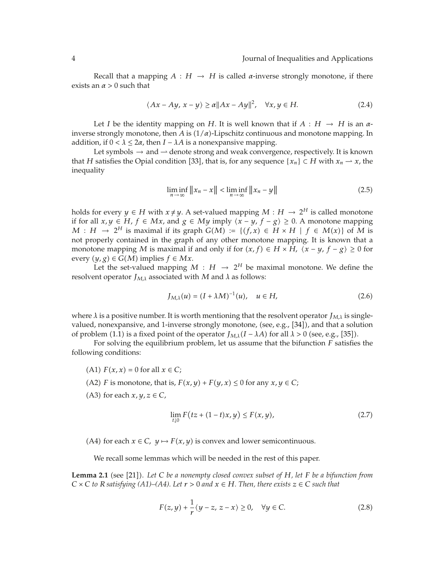Recall that a mapping  $A : H \to H$  is called *α*-inverse strongly monotone, if there exists an  $\alpha > 0$  such that

$$
\langle Ax - Ay, x - y \rangle \ge \alpha \|Ax - Ay\|^2, \quad \forall x, y \in H. \tag{2.4}
$$

Let *I* be the identity mapping on *H*. It is well known that if  $A : H \rightarrow H$  is an  $\alpha$ inverse strongly monotone, then *A* is  $(1/a)$ -Lipschitz continuous and monotone mapping. In addition if  $0 < l < 2\alpha$ , then  $I - l$  4 is a popoyaansive mapping addition, if  $0 < \lambda \leq 2\alpha$ , then  $I - \lambda A$  is a nonexpansive mapping.

Let symbols  $\rightarrow$  and  $\rightarrow$  denote strong and weak convergence, respectively. It is known that *H* satisfies the Opial condition [33], that is, for any sequence { $x_n$ } ⊂ *H* with  $x_n \to x$ , the inequality

$$
\liminf_{n \to \infty} \|x_n - x\| < \liminf_{n \to \infty} \|x_n - y\| \tag{2.5}
$$

holds for every *y*  $\in$  *H* with *x*  $\neq$  *y*. A set-valued mapping *M* : *H*  $\rightarrow$  2<sup>*H*</sup> is called monotone if for all *x*, *y* ∈ *H*, *f* ∈ *Mx*, and *g* ∈ *My* imply  $\langle x - y, f - g \rangle \ge 0$ . A monotone mapping  $M : H \to 2^H$  is maximal if its graph  $G(M) := \{ (f, x) \in H \times H \mid f \in M(x) \}$  of *M* is not properly contained in the graph of any other monotone manning. It is known that a not properly contained in the graph of any other monotone mapping. It is known that a monotone mapping *M* is maximal if and only if for  $(x, f) \in H \times H$ ,  $\langle x - y, f - g \rangle \ge 0$  for  $\alpha$  *axery*  $(u, g) \in C(M)$  implies  $f \in Mx$ every  $(y, g) \in G(M)$  implies  $f \in Mx$ .<br>
Let the set-valued manning *l* 

Let the set-valued mapping  $M : H \rightarrow 2^H$  be maximal monotone. We define the resolvent operator  $J_{M,\lambda}$  associated with *M* and  $\lambda$  as follows:

$$
J_{M,\lambda}(u) = (I + \lambda M)^{-1}(u), \quad u \in H,
$$
\n(2.6)

where  $\lambda$  is a positive number. It is worth mentioning that the resolvent operator  $J_{M,\lambda}$  is singlevalued, nonexpansive, and 1-inverse strongly monotone, (see, e.g., [34]), and that a solution of problem (1.1) is a fixed point of the operator  $J_{M,\lambda}(I - \lambda A)$  for all  $\lambda > 0$  (see, e.g., [35]).<br>For solving the oquilibrium problem, let us assume that the bifunction *F* satisfies

For solving the equilibrium problem, let us assume that the bifunction *F* satisfies the following conditions:

- $(A1)$  *F*(*x*, *x*) = 0 for all *x* ∈ *C*;
- (A2) *F* is monotone, that is,  $F(x, y) + F(y, x) \le 0$  for any  $x, y \in C$ ;
- (A3) for each  $x, y, z \in C$ ,

$$
\lim_{t \downarrow 0} F(tz + (1-t)x, y) \le F(x, y), \tag{2.7}
$$

(A4) for each  $x \in C$ ,  $y \mapsto F(x, y)$  is convex and lower semicontinuous.

We recall some lemmas which will be needed in the rest of this paper.

**Lemma 2.1** (see [21]). Let C be a nonempty closed convex subset of H, let F be a bifunction from  $C \times C$  to B satisfying (41)–(44). Let  $r > 0$  and  $r \in H$ . Then, there exists  $z \in C$  such that  $C \times C$  *to R satisfying* (A1)–(A4). Let  $r > 0$  *and*  $x \in H$ *. Then, there exists*  $z \in C$  *such that* 

$$
F(z, y) + \frac{1}{r} \langle y - z, z - x \rangle \ge 0, \quad \forall y \in C.
$$
 (2.8)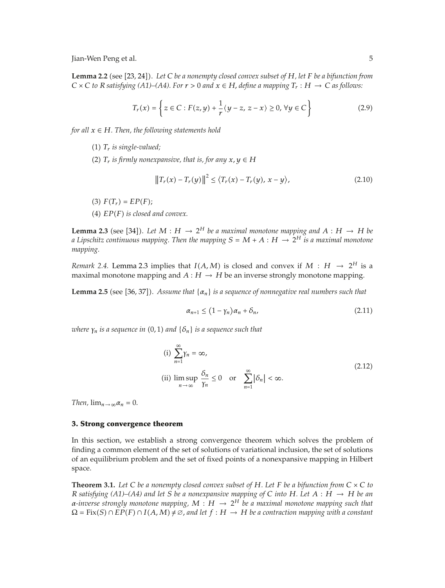**Lemma 2.2** (see [23, 24]). Let C be a nonempty closed convex subset of *H*, let *F* be a bifunction from<br> $C \times C$  to *P* satisfying (A1) (A4) For  $r > 0$  and  $r \in H$  define a manning  $T \cdot H \rightarrow C$  as follower  $C \times C$  *to R satisfying* (A1)–(A4). For  $r > 0$  *and*  $x \in H$ , *define a mapping*  $T_r : H \to C$  *as follows:* 

$$
T_r(x) = \left\{ z \in C : F(z, y) + \frac{1}{r} \langle y - z, z - x \rangle \ge 0, \forall y \in C \right\}
$$
 (2.9)

*for all*  $x \in H$ *. Then, the following statements hold* 

- (1)  $T_r$  *is single-valued;*
- (2)  $T_r$  *is firmly nonexpansive, that is, for any*  $x, y \in H$

$$
||T_r(x) - T_r(y)||^2 \le \langle T_r(x) - T_r(y), x - y \rangle, \tag{2.10}
$$

- (3)  $F(T_r) = EP(F);$
- $(4)$   $EP(F)$  *is closed and convex.*

**Lemma 2.3** (see [34]). Let  $M : H \to 2^H$  be a maximal monotone mapping and  $A : H \to H$  be a functional monotone mapping and  $A : H \to H$  be *a Lipschitz continuous mapping. Then the mapping*  $S = M + A : H \rightarrow 2^H$  *is a maximal monotone mapping.*

*Remark 2.4.* Lemma 2.3 implies that  $I(A, M)$  is closed and convex if  $M : H \to 2^H$  is a maximal monotone manning and  $A : H \to H$  be an inverse strongly monotone manning maximal monotone mapping and  $A : H \to H$  be an inverse strongly monotone mapping.

**Lemma 2.5** (see [36, 37]). Assume that  $\{\alpha_n\}$  is a sequence of nonnegative real numbers such that

$$
\alpha_{n+1} \le (1 - \gamma_n)\alpha_n + \delta_n,\tag{2.11}
$$

 $\omega$ here  $\gamma_n$  is a sequence in (0, 1) and  $\{\delta_n\}$  is a sequence such that

(i) 
$$
\sum_{n=1}^{\infty} \gamma_n = \infty,
$$
  
\n(ii) 
$$
\limsup_{n \to \infty} \frac{\delta_n}{\gamma_n} \le 0 \quad \text{or} \quad \sum_{n=1}^{\infty} |\delta_n| < \infty.
$$
\n(2.12)

*Then,*  $\lim_{n\to\infty} \alpha_n = 0$ .

#### **3. Strong convergence theorem**

In this section, we establish a strong convergence theorem which solves the problem of finding a common element of the set of solutions of variational inclusion, the set of solutions of an equilibrium problem and the set of fixed points of a nonexpansive mapping in Hilbert space.

**Theorem 3.1.** Let C be a nonempty closed convex subset of H. Let F be a bifunction from  $C \times C$  to *R* satisfying (A1)–(A4) and let *S* be a nonexpansive mapping of *C* into *H*. Let  $A : H \rightarrow H$  be an *α-inverse strongly monotone mapping,*  $M : H \to 2^H$  *be a maximal monotone mapping such that*  $\Omega = \text{Fix}(S) \cap \overline{EP}(F) \cap I(A,M) \neq \varnothing$ , and let  $f : H \to H$  be a contraction mapping with a constant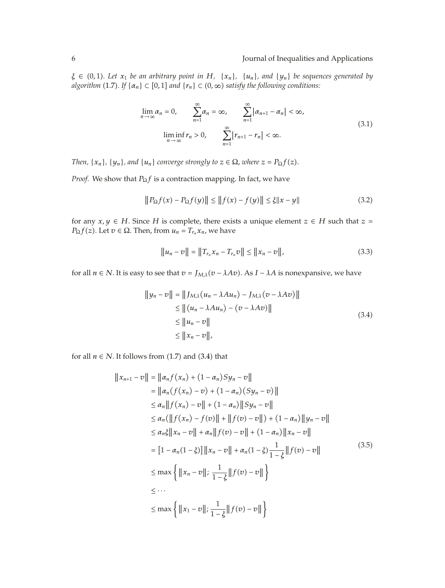### 6 Journal of Inequalities and Applications

 $\xi \in (0,1)$ . Let  $x_1$  *be an arbitrary point in*  $H$ *,*  $\{x_n\}$ *,*  $\{u_n\}$ *, and*  $\{y_n\}$  *be sequences generated by*<br>*algorithm* (1.7) If  $\{x_n\} \subset [0,1]$  and  $\{x_n\} \subset (0,\infty)$  satisfies the following conditions:  $algorithms(1.7)$ . If  $\{\alpha_n\} \subset [0,1]$  and  $\{r_n\} \subset (0,\infty)$  satisfy the following conditions:

$$
\lim_{n \to \infty} \alpha_n = 0, \qquad \sum_{n=1}^{\infty} \alpha_n = \infty, \qquad \sum_{n=1}^{\infty} |\alpha_{n+1} - \alpha_n| < \infty,
$$
\n
$$
\lim_{n \to \infty} \inf r_n > 0, \qquad \sum_{n=1}^{\infty} |r_{n+1} - r_n| < \infty. \tag{3.1}
$$

*Then,*  $\{x_n\}$ *,*  $\{y_n\}$ *, and*  $\{u_n\}$  *converge strongly to*  $z \in \Omega$ *, where*  $z = P_{\Omega} f(z)$ *.* 

*Proof.* We show that *P*<sub>Ω</sub>*f* is a contraction mapping. In fact, we have

$$
||P_{\Omega}f(x) - P_{\Omega}f(y)|| \le ||f(x) - f(y)|| \le \xi ||x - y|| \tag{3.2}
$$

for any  $x, y \in H$ . Since *H* is complete, there exists a unique element  $z \in H$  such that  $z =$  $P_{\Omega}f(z)$ . Let  $v \in \Omega$ . Then, from  $u_n = T_{r_n}x_n$ , we have

$$
||u_n - v|| = ||T_{r_n} x_n - T_{r_n} v|| \le ||x_n - v||,
$$
\n(3.3)

for all  $n \in N$ . It is easy to see that  $v = J_{M,\lambda}(v - \lambda Av)$ . As  $I - \lambda A$  is nonexpansive, we have

$$
||y_n - v|| = ||J_{M,\lambda}(u_n - \lambda Au_n) - J_{M,\lambda}(v - \lambda Av)||
$$
  
\n
$$
\leq ||(u_n - \lambda Au_n) - (v - \lambda Av)||
$$
  
\n
$$
\leq ||u_n - v||
$$
  
\n
$$
\leq ||x_n - v||,
$$
\n(3.4)

for all  $n \in N$ . It follows from  $(1.7)$  and  $(3.4)$  that

$$
||x_{n+1} - v|| = ||a_n f(x_n) + (1 - a_n)Sy_n - v||
$$
  
\n
$$
= ||a_n (f(x_n) - v) + (1 - a_n) (Sy_n - v) ||
$$
  
\n
$$
\le a_n ||f(x_n) - v|| + (1 - a_n) ||Sy_n - v||
$$
  
\n
$$
\le a_n (||f(x_n) - f(v)|| + ||f(v) - v||) + (1 - a_n) ||y_n - v||
$$
  
\n
$$
\le a_n \xi ||x_n - v|| + a_n ||f(v) - v|| + (1 - a_n) ||x_n - v||
$$
  
\n
$$
= [1 - a_n (1 - \xi)] ||x_n - v|| + a_n (1 - \xi) \frac{1}{1 - \xi} ||f(v) - v||
$$
  
\n
$$
\le max \{ ||x_n - v||; \frac{1}{1 - \xi} ||f(v) - v|| \}
$$
  
\n
$$
\le ...
$$
  
\n
$$
\le max \{ ||x_1 - v||; \frac{1}{1 - \xi} ||f(v) - v|| \}
$$
 (3.5)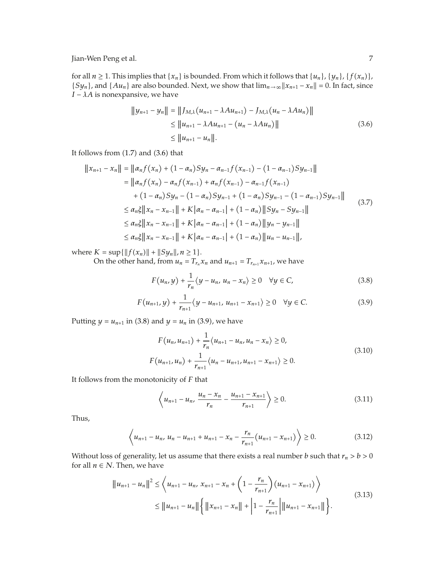for all  $n \ge 1$ . This implies that  $\{x_n\}$  is bounded. From which it follows that  $\{u_n\}$ ,  $\{y_n\}$ ,  $\{f(x_n)\}$ ,  $\{f(x_n)\}$ ,  $\{f(x_n)\}$  $\{Sy_n\}$ , and  $\{Au_n\}$  are also bounded. Next, we show that  $\lim_{n\to\infty}||x_{n+1}-x_n|| = 0$ . In fact, since  $I = \lambda A$  is nonovoancing we have *I* <sup>−</sup> *λA* is nonexpansive, we have

$$
||y_{n+1} - y_n|| = ||J_{M,\lambda}(u_{n+1} - \lambda A u_{n+1}) - J_{M,\lambda}(u_n - \lambda A u_n)||
$$
  
\n
$$
\leq ||u_{n+1} - \lambda A u_{n+1} - (u_n - \lambda A u_n)||
$$
  
\n
$$
\leq ||u_{n+1} - u_n||.
$$
\n(3.6)

It follows from  $(1.7)$  and  $(3.6)$  that

$$
||x_{n+1} - x_n|| = ||\alpha_n f(x_n) + (1 - \alpha_n)Sy_n - \alpha_{n-1} f(x_{n-1}) - (1 - \alpha_{n-1})Sy_{n-1}||
$$
  
\n
$$
= ||\alpha_n f(x_n) - \alpha_n f(x_{n-1}) + \alpha_n f(x_{n-1}) - \alpha_{n-1} f(x_{n-1})
$$
  
\n
$$
+ (1 - \alpha_n)Sy_n - (1 - \alpha_n)Sy_{n-1} + (1 - \alpha_n)Sy_{n-1} - (1 - \alpha_{n-1})Sy_{n-1}||
$$
  
\n
$$
\leq \alpha_n \xi ||x_n - x_{n-1}|| + K |\alpha_n - \alpha_{n-1}| + (1 - \alpha_n) ||Sy_n - Sy_{n-1}||
$$
  
\n
$$
\leq \alpha_n \xi ||x_n - x_{n-1}|| + K |\alpha_n - \alpha_{n-1}| + (1 - \alpha_n) ||y_n - y_{n-1}||
$$
  
\n
$$
\leq \alpha_n \xi ||x_n - x_{n-1}|| + K |\alpha_n - \alpha_{n-1}| + (1 - \alpha_n) ||u_n - u_{n-1}||,
$$

where  $K = \sup\{\|f(x_n)\| + \|Sy_n\|, n \ge 1\}.$ <br>On the other hand, from  $y_n = T$ . *Syn*-

On the other hand, from  $u_n = T_{r_n} x_n$  and  $u_{n+1} = T_{r_{n+1}} x_{n+1}$ , we have

$$
F(u_n, y) + \frac{1}{r_n} \langle y - u_n, u_n - x_n \rangle \ge 0 \quad \forall y \in C,
$$
\n(3.8)

$$
F(u_{n+1}, y) + \frac{1}{r_{n+1}} \langle y - u_{n+1}, u_{n+1} - x_{n+1} \rangle \ge 0 \quad \forall y \in C.
$$
 (3.9)

Putting  $y = u_{n+1}$  in (3.8) and  $y = u_n$  in (3.9), we have

$$
F(u_n, u_{n+1}) + \frac{1}{r_n} \langle u_{n+1} - u_n, u_n - x_n \rangle \ge 0,
$$
  

$$
F(u_{n+1}, u_n) + \frac{1}{r_{n+1}} \langle u_n - u_{n+1}, u_{n+1} - x_{n+1} \rangle \ge 0.
$$
 (3.10)

It follows from the monotonicity of *F* that

$$
\left\langle u_{n+1} - u_n, \, \frac{u_n - x_n}{r_n} - \frac{u_{n+1} - x_{n+1}}{r_{n+1}} \right\rangle \ge 0. \tag{3.11}
$$

Thus,

$$
\left\langle u_{n+1} - u_n, u_n - u_{n+1} + u_{n+1} - x_n - \frac{r_n}{r_{n+1}} (u_{n+1} - x_{n+1}) \right\rangle \ge 0. \tag{3.12}
$$

Without loss of generality, let us assume that there exists a real number *b* such that  $r_n > b > 0$ for all  $n \in N$ . Then, we have

$$
||u_{n+1} - u_n||^2 \le \left\langle u_{n+1} - u_n, x_{n+1} - x_n + \left(1 - \frac{r_n}{r_{n+1}}\right) (u_{n+1} - x_{n+1}) \right\rangle
$$
  
 
$$
\le ||u_{n+1} - u_n|| \left\{ ||x_{n+1} - x_n|| + \left|1 - \frac{r_n}{r_{n+1}}\right| ||u_{n+1} - x_{n+1}|| \right\}.
$$
 (3.13)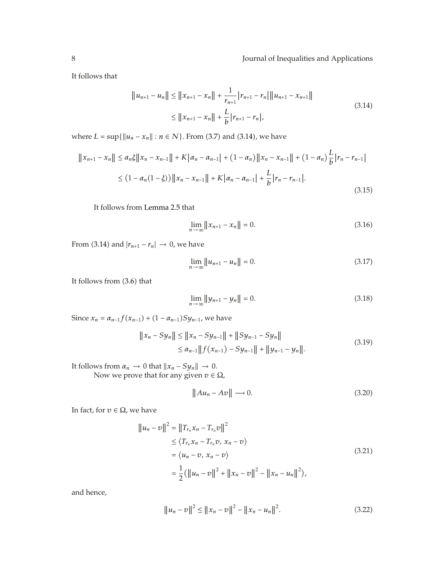It follows that

$$
||u_{n+1} - u_n|| \le ||x_{n+1} - x_n|| + \frac{1}{r_{n+1}} |r_{n+1} - r_n|| ||u_{n+1} - x_{n+1}||
$$
  
\n
$$
\le ||x_{n+1} - x_n|| + \frac{L}{b} |r_{n+1} - r_n|,
$$
\n(3.14)

where  $L = \sup\{\|u_n - x_n\| : n \in N\}$ . From (3.7) and (3.14), we have

$$
||x_{n+1} - x_n|| \le \alpha_n \xi ||x_n - x_{n-1}|| + K|\alpha_n - \alpha_{n-1}| + (1 - \alpha_n) ||x_n - x_{n-1}|| + (1 - \alpha_n) \frac{L}{b} |r_n - r_{n-1}|
$$
  

$$
\le (1 - \alpha_n (1 - \xi)) ||x_n - x_{n-1}|| + K|\alpha_n - \alpha_{n-1}| + \frac{L}{b} |r_n - r_{n-1}|.
$$
\n(3.15)

It follows from Lemma 2.5 that

$$
\lim_{n \to \infty} ||x_{n+1} - x_n|| = 0.
$$
\n(3.16)

From (3.14) and  $|r_{n+1} - r_n| \to 0$ , we have

$$
\lim_{n \to \infty} ||u_{n+1} - u_n|| = 0. \tag{3.17}
$$

It follows from  $(3.6)$  that

$$
\lim_{n \to \infty} ||y_{n+1} - y_n|| = 0.
$$
\n(3.18)

Since  $x_n = a_{n-1} f(x_{n-1}) + (1 - a_{n-1}) S y_{n-1}$ , we have

$$
||x_n - Sy_n|| \le ||x_n - Sy_{n-1}|| + ||Sy_{n-1} - Sy_n||
$$
  
\n
$$
\le \alpha_{n-1} ||f(x_{n-1}) - Sy_{n-1}|| + ||y_{n-1} - y_n||.
$$
\n(3.19)

It follows from  $\alpha_n \to 0$  that  $||x_n - Sy_n|| \to 0$ .<br>Now we prove that for any given  $n \in \mathbb{Z}$ . Now we prove that for any given  $v \in \Omega$ ,

$$
||Au_n - Av|| \longrightarrow 0. \tag{3.20}
$$

In fact, for  $v \in \Omega$ , we have

$$
\|u_n - v\|^2 = \|T_{r_n} x_n - T_{r_n} v\|^2
$$
  
\n
$$
\leq \langle T_{r_n} x_n - T_{r_n} v, x_n - v \rangle
$$
  
\n
$$
= \langle u_n - v, x_n - v \rangle
$$
  
\n
$$
= \frac{1}{2} (\|u_n - v\|^2 + \|x_n - v\|^2 - \|x_n - u_n\|^2),
$$
\n(3.21)

and hence,

$$
||u_n - v||^2 \le ||x_n - v||^2 - ||x_n - u_n||^2.
$$
 (3.22)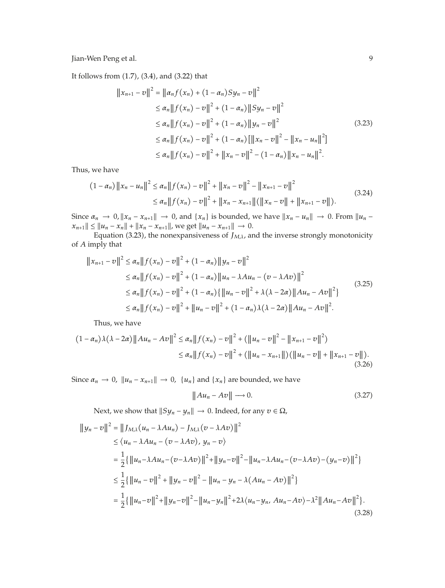It follows from (1.7), (3.4), and (3.22) that

$$
||x_{n+1} - v||^{2} = ||\alpha_{n}f(x_{n}) + (1 - \alpha_{n})Sy_{n} - v||^{2}
$$
  
\n
$$
\leq \alpha_{n} ||f(x_{n}) - v||^{2} + (1 - \alpha_{n}) ||Sy_{n} - v||^{2}
$$
  
\n
$$
\leq \alpha_{n} ||f(x_{n}) - v||^{2} + (1 - \alpha_{n}) ||y_{n} - v||^{2}
$$
  
\n
$$
\leq \alpha_{n} ||f(x_{n}) - v||^{2} + (1 - \alpha_{n}) ||x_{n} - v||^{2} - ||x_{n} - u_{n}||^{2}
$$
  
\n
$$
\leq \alpha_{n} ||f(x_{n}) - v||^{2} + ||x_{n} - v||^{2} - (1 - \alpha_{n}) ||x_{n} - u_{n}||^{2}.
$$
  
\n(3.23)

Thus, we have

$$
(1 - \alpha_n) \|x_n - u_n\|^2 \le \alpha_n \|f(x_n) - v\|^2 + \|x_n - v\|^2 - \|x_{n+1} - v\|^2
$$
  

$$
\le \alpha_n \|f(x_n) - v\|^2 + \|x_n - x_{n+1}\| (\|x_n - v\| + \|x_{n+1} - v\|).
$$
 (3.24)

Since  $\alpha_n \to 0$ ,  $||x_n - x_{n+1}|| \to 0$ , and  $\{x_n\}$  is bounded, we have  $||x_n - u_n|| \to 0$ . From  $||u_n - x_{n+1}|| \to 0$  $||x_n - x_n|| + ||x_n - x_{n+1}||$ , we get  $||u_n - x_{n+1}|| \to 0$ .<br>
Founding (3.23), the person propriation as of  $L_{k+1}$ , and

Equation (3.23), the nonexpansiveness of  $J_{M,\lambda}$ , and the inverse strongly monotonicity<br>and that of *A* imply that

$$
||x_{n+1} - v||^2 \le \alpha_n ||f(x_n) - v||^2 + (1 - \alpha_n) ||y_n - v||^2
$$
  
\n
$$
\le \alpha_n ||f(x_n) - v||^2 + (1 - \alpha_n) ||u_n - \lambda Au_n - (v - \lambda Av)||^2
$$
  
\n
$$
\le \alpha_n ||f(x_n) - v||^2 + (1 - \alpha_n) {||u_n - v||^2 + \lambda (\lambda - 2\alpha) ||Au_n - Av||^2}
$$
  
\n
$$
\le \alpha_n ||f(x_n) - v||^2 + ||u_n - v||^2 + (1 - \alpha_n) \lambda (\lambda - 2\alpha) ||Au_n - Av||^2.
$$
 (3.25)

Thus, we have

$$
(1 - \alpha_n)\lambda(\lambda - 2\alpha) \|Au_n - Av\|^2 \le \alpha_n \|f(x_n) - v\|^2 + (\|u_n - v\|^2 - \|x_{n+1} - v\|^2)
$$
  

$$
\le \alpha_n \|f(x_n) - v\|^2 + (\|u_n - x_{n+1}\|) (\|u_n - v\| + \|x_{n+1} - v\|).
$$
  
(3.26)

Since  $\alpha_n \to 0$ ,  $||u_n - x_{n+1}|| \to 0$ ,  $\{u_n\}$  and  $\{x_n\}$  are bounded, we have

$$
||Au_n - Av|| \longrightarrow 0. \tag{3.27}
$$

Next, we show that  $||Sy_n - y_n|| \to 0$ . Indeed, for any  $v \in \Omega$ ,

$$
\|y_n - v\|^2 = \|J_{M,\lambda}(u_n - \lambda Au_n) - J_{M,\lambda}(v - \lambda Av)\|^2
$$
  
\n
$$
\leq \langle u_n - \lambda Au_n - (v - \lambda Av), y_n - v \rangle
$$
  
\n
$$
= \frac{1}{2} \{ \|u_n - \lambda Au_n - (v - \lambda Av)\|^2 + \|y_n - v\|^2 - \|u_n - \lambda Au_n - (v - \lambda Av) - (y_n - v)\|^2 \}
$$
  
\n
$$
\leq \frac{1}{2} \{ \|u_n - v\|^2 + \|y_n - v\|^2 - \|u_n - y_n - \lambda (Au_n - Av)\|^2 \}
$$
  
\n
$$
= \frac{1}{2} \{ \|u_n - v\|^2 + \|y_n - v\|^2 - \|u_n - y_n\|^2 + 2\lambda \langle u_n - y_n, Au_n - Av \rangle - \lambda^2 \|Au_n - Av\|^2 \}.
$$
  
\n(3.28)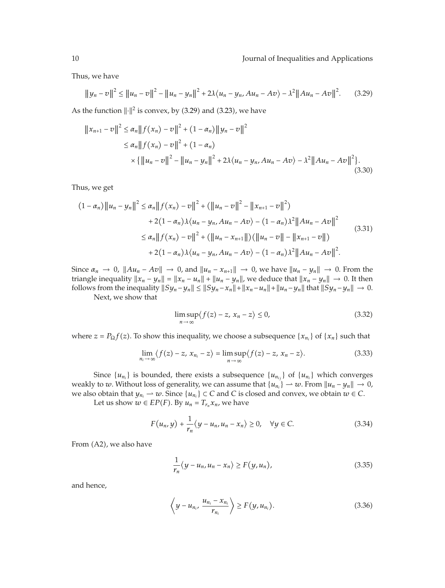Thus, we have

$$
||y_n - v||^2 \le ||u_n - v||^2 - ||u_n - y_n||^2 + 2\lambda \langle u_n - y_n, Au_n - Av \rangle - \lambda^2 ||Au_n - Av||^2. \tag{3.29}
$$

As the function  $\lVert \cdot \rVert^2$  is convex, by (3.29) and (3.23), we have

$$
||x_{n+1} - v||^{2} \le \alpha_{n} ||f(x_{n}) - v||^{2} + (1 - \alpha_{n}) ||y_{n} - v||^{2}
$$
  
\n
$$
\le \alpha_{n} ||f(x_{n}) - v||^{2} + (1 - \alpha_{n})
$$
  
\n
$$
\times {||u_{n} - v||^{2} - ||u_{n} - y_{n}||^{2} + 2\lambda \langle u_{n} - y_{n}, Au_{n} - Av \rangle - \lambda^{2} ||Au_{n} - Av||^{2}}.
$$
\n(3.30)

Thus, we get

$$
(1 - \alpha_n) \|u_n - y_n\|^2 \le \alpha_n \|f(x_n) - v\|^2 + (\|u_n - v\|^2 - \|x_{n+1} - v\|^2)
$$
  
+ 2(1 - \alpha\_n)\lambda\langle u\_n - y\_n, Au\_n - Av \rangle - (1 - \alpha\_n)\lambda^2 \|Au\_n - Av\|^2  

$$
\le \alpha_n \|f(x_n) - v\|^2 + (\|u_n - x_{n+1}\|) (\|u_n - v\| - \|x_{n+1} - v\|)
$$
  
+ 2(1 - \alpha\_n)\lambda\langle u\_n - y\_n, Au\_n - Av \rangle - (1 - \alpha\_n)\lambda^2 \|Au\_n - Av\|^2. (3.31)

Since  $\alpha_n \to 0$ ,  $||Au_n - Av|| \to 0$ , and  $||u_n - x_{n+1}|| \to 0$ , we have  $||u_n - y_n|| \to 0$ . From the triangle inequality  $||x_n - y_n|| = ||x_n - u_n|| + ||u_n - y_n||$ , we deduce that  $||x_n - y_n|| \to 0$ . It then<br>follows from the inequality  $||S_{11} - u|| \le ||S_{11} - x|| + ||x - u|| + ||u - u||$  that  $||S_{11} - u|| \to 0$ follows from the inequality  $||Sy_n - y_n|| \le ||Sy_n - x_n|| + ||x_n - u_n|| + ||u_n - y_n||$  that  $||Sy_n - y_n|| \to 0$ . Next, we show that

$$
\limsup_{n \to \infty} \langle f(z) - z, x_n - z \rangle \le 0,
$$
\n(3.32)

where  $z = P_{\Omega} f(z)$ . To show this inequality, we choose a subsequence  $\{x_{n_i}\}\$  of  $\{x_n\}$  such that

$$
\lim_{n_i \to \infty} \langle f(z) - z, x_{n_i} - z \rangle = \limsup_{n \to \infty} \langle f(z) - z, x_n - z \rangle.
$$
 (3.33)

Since  $\{u_{n_i}\}\$  is bounded, there exists a subsequence  $\{u_{n_{ij}}\}\$  of  $\{u_{n_i}\}\$  which converges weakly to *w*. Without loss of generality, we can assume that  $\{u_{n_i}\} \to w$ . From  $\|u_n - y_n\| \to 0$ , we also obtain that  $u_{n_i} \to w$ . Since  $\{u_{n_i}\} \subset C$  and  $C$  is closed and convex we obtain  $w \in C$ . we also obtain that  $y_{n_i} \to w$ . Since  $\{u_{n_i}\} \subset C$  and *C* is closed and convex, we obtain  $w \in C$ .<br>Let us show  $w \in EP(F)$ . By  $u_i = T_i x$ , we have

Let us show  $w \in EP(F)$ . By  $u_n = T_{r_n}x_n$ , we have

$$
F(u_n, y) + \frac{1}{r_n} \langle y - u_n, u_n - x_n \rangle \ge 0, \quad \forall y \in C.
$$
 (3.34)

From (A2), we also have

$$
\frac{1}{r_n} \langle y - u_n, u_n - x_n \rangle \ge F(y, u_n), \tag{3.35}
$$

and hence,

$$
\left\langle y - u_{n_i}, \frac{u_{n_i} - x_{n_i}}{r_{n_i}} \right\rangle \ge F(y, u_{n_i}). \tag{3.36}
$$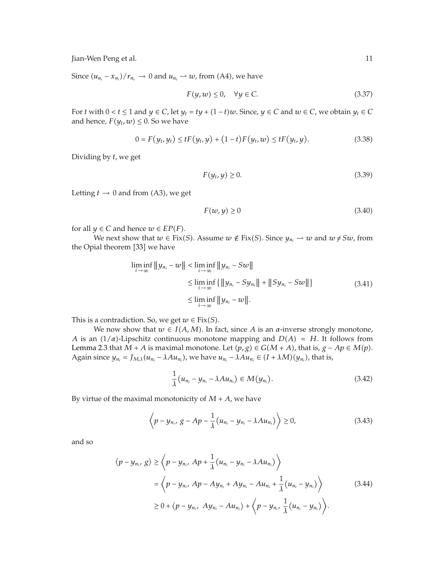Since  $(u_{n_i} - x_{n_i})/r_{n_i} \to 0$  and  $u_{n_i} \to w$ , from (A4), we have

$$
F(y, w) \le 0, \quad \forall y \in C. \tag{3.37}
$$

For *t* with  $0 < t \le 1$  and  $y \in C$ , let  $y_t = ty + (1-t)w$ . Since,  $y \in C$  and  $w \in C$ , we obtain  $y_t \in C$  and hence,  $F(y, sy) \le 0$ . So we have and hence,  $F(y_t, w) \leq 0$ . So we have

$$
0 = F(y_t, y_t) \le tF(y_t, y) + (1 - t)F(y_t, w) \le tF(y_t, y). \tag{3.38}
$$

Dividing by *t*, we get

$$
F(y_t, y) \ge 0. \tag{3.39}
$$

Letting  $t \to 0$  and from (A3), we get

$$
F(w, y) \ge 0\tag{3.40}
$$

for all  $y \in C$  and hence  $w \in EP(F)$ .<br>*We post show that*  $w \in Fix$ 

We next show that  $w \in Fix(S)$ . Assume  $w \notin Fix(S)$ . Since  $y_{n_i} \to w$  and  $w \neq Sw$ , from ial theorem [33] we have the Opial theorem [33] we have

$$
\liminf_{i \to \infty} \|y_{n_i} - w\| < \liminf_{i \to \infty} \|y_{n_i} - Sw\| \\
\leq \liminf_{i \to \infty} \{ \|y_{n_i} - Sy_{n_i}\| + \|Sy_{n_i} - Sw\| \} \\
\leq \liminf_{i \to \infty} \|y_{n_i} - w\|.
$$
\n(3.41)

This is a contradiction. So, we get  $w \in Fix(S)$ .<br>*We now show that*  $w \in I(A, M)$  In fa

We now show that  $w \in I(A, M)$ . In fact, since *A* is an *α*-inverse strongly monotone,<br>a  $(1/a)$ -I inschitz continuous monotone manning and  $D(A) = H$ . It follows from *A* is an  $(1/a)$ -Lipschitz continuous monotone mapping and  $D(A) = H$ . It follows from  $I$  or  $m = 2.3$  that  $M + A$  is maximal monotone. Let  $(n, \alpha) \in C(M + A)$  that is  $\alpha - An \in M(n)$ . Lemma 2.3 that  $M + A$  is maximal monotone. Let  $(p, g) \in G(M + A)$ , that is,  $g - Ap \in M(p)$ .<br>Again since  $y = J_{\text{ext}}(y)$ ,  $M(y)$ ,  $M(y) = M(y)$ ,  $M(y)$ , that is Again since  $y_{n_i} = J_{M,\lambda}(u_{n_i} - \lambda A u_{n_i})$ , we have  $u_{n_i} - \lambda A u_{n_i} \in (I + \lambda M)(y_{n_i})$ , that is,

$$
\frac{1}{\lambda}(u_{n_i}-y_{n_i}-\lambda Au_{n_i})\in M(y_{n_i}).
$$
\n(3.42)

By virtue of the maximal monotonicity of  $M + A$ , we have

$$
\left\langle p - y_{n_i}, \, g - Ap - \frac{1}{\lambda} (u_{n_i} - y_{n_i} - \lambda A u_{n_i}) \right\rangle \ge 0, \tag{3.43}
$$

and so

$$
\langle p - y_{n_i}, g \rangle \ge \langle p - y_{n_i}, Ap + \frac{1}{\lambda} (u_{n_i} - y_{n_i} - \lambda A u_{n_i}) \rangle
$$
  
=  $\langle p - y_{n_i}, Ap - Ay_{n_i} + Ay_{n_i} - Au_{n_i} + \frac{1}{\lambda} (u_{n_i} - y_{n_i}) \rangle$  (3.44)  

$$
\ge 0 + \langle p - y_{n_i}, Ay_{n_i} - Au_{n_i} \rangle + \langle p - y_{n_i}, \frac{1}{\lambda} (u_{n_i} - y_{n_i}) \rangle.
$$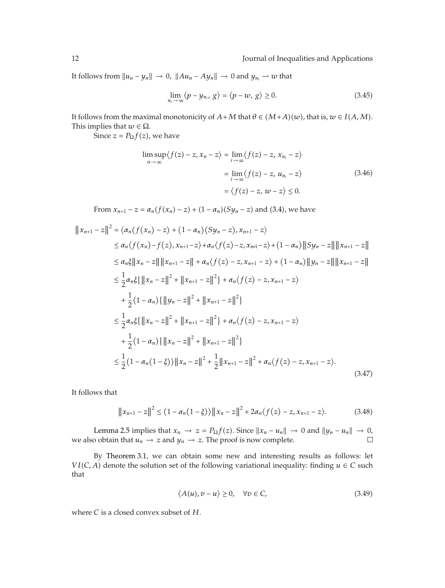It follows from  $||u_n - y_n|| \to 0$ ,  $||Au_n - Ay_n|| \to 0$  and  $y_{n_i} \to w$  that

$$
\lim_{n_i \to \infty} \langle p - y_{n_i}, g \rangle = \langle p - w, g \rangle \ge 0. \tag{3.45}
$$

It follows from the maximal monotonicity of  $A + M$  that  $\theta \in (M+A)(w)$ , that is,  $w \in I(A, M)$ .<br>This implies that  $w \in \Omega$ This implies that  $w \in \Omega$ .

Since  $z = P_{\Omega} f(z)$ , we have

$$
\limsup_{n \to \infty} \langle f(z) - z, x_n - z \rangle = \lim_{i \to \infty} \langle f(z) - z, x_{n_i} - z \rangle
$$

$$
= \lim_{i \to \infty} \langle f(z) - z, u_{n_i} - z \rangle
$$

$$
= \langle f(z) - z, w - z \rangle \le 0.
$$
(3.46)

From  $x_{n+1} - z = a_n(f(x_n) - z) + (1 - a_n)(Sy_n - z)$  and (3.4), we have

$$
||x_{n+1} - z||^2 = \langle \alpha_n(f(x_n) - z) + (1 - \alpha_n)(Sy_n - z), x_{n+1} - z \rangle
$$
  
\n
$$
\leq \alpha_n \langle f(x_n) - f(z), x_{n+1} - z \rangle + \alpha_n \langle f(z) - z, x_{n+1} - z \rangle + (1 - \alpha_n) ||Sy_n - z|| ||x_{n+1} - z||
$$
  
\n
$$
\leq \alpha_n \xi ||x_n - z|| ||x_{n+1} - z|| + \alpha_n \langle f(z) - z, x_{n+1} - z \rangle + (1 - \alpha_n) ||y_n - z|| ||x_{n+1} - z||
$$
  
\n
$$
\leq \frac{1}{2} \alpha_n \xi \{ ||x_n - z||^2 + ||x_{n+1} - z||^2 \} + \alpha_n \langle f(z) - z, x_{n+1} - z \rangle
$$
  
\n
$$
+ \frac{1}{2} (1 - \alpha_n) \{ ||y_n - z||^2 + ||x_{n+1} - z||^2 \}
$$
  
\n
$$
\leq \frac{1}{2} \alpha_n \xi \{ ||x_n - z||^2 + ||x_{n+1} - z||^2 \} + \alpha_n \langle f(z) - z, x_{n+1} - z \rangle
$$
  
\n
$$
+ \frac{1}{2} (1 - \alpha_n) \{ ||x_n - z||^2 + ||x_{n+1} - z||^2 \}
$$
  
\n
$$
\leq \frac{1}{2} (1 - \alpha_n (1 - \xi)) ||x_n - z||^2 + \frac{1}{2} ||x_{n+1} - z||^2 + \alpha_n \langle f(z) - z, x_{n+1} - z \rangle.
$$
  
\n(3.47)

It follows that

$$
||x_{n+1} - z||^2 \le (1 - \alpha_n(1 - \xi)) ||x_n - z||^2 + 2\alpha_n \langle f(z) - z, x_{n+1} - z \rangle.
$$
 (3.48)

Lemma 2.5 implies that  $x_n \to z = P_{\Omega} f(z)$ . Since  $||x_n - u_n|| \to 0$  and  $||y_n - u_n|| \to 0$ , obtain that  $u_n \to z$  and  $u_n \to z$ . The proof is now complete we also obtain that  $u_n \to z$  and  $y_n \to z$ . The proof is now complete.

By Theorem 3.1, we can obtain some new and interesting results as follows: let *VI*(*C*, *A*) denote the solution set of the following variational inequality: finding *u* ∈ *C* such that that

$$
\langle A(u), v - u \rangle \ge 0, \quad \forall v \in C,
$$
\n(3.49)

where *C* is a closed convex subset of *H*.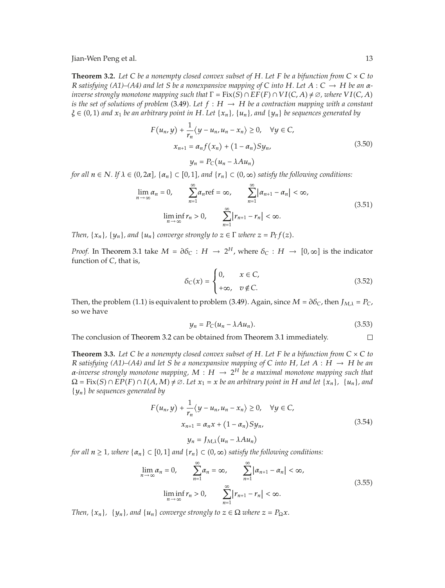**Theorem 3.2.** Let C be a nonempty closed convex subset of H. Let F be a bifunction from  $C \times C$  to *R satisfying (A1)–(A4) and let S be a nonexpansive mapping of C into H. Let A* : *C* <sup>→</sup> *H be an αinverse strongly monotone mapping such that*  $\Gamma = \text{Fix}(S) \cap \text{EF}(F) \cap \text{VI}(C, A) \neq \emptyset$ , where  $\text{VI}(C, A)$  is the set of solutions of problem (3.49) Let  $f : H \to H$  be a contraction mapping with a constant *is the set of solutions of problem* (3.49). Let  $f : H \to H$  *be a contraction mapping with a constant*  $\lambda \in (0, 1)$  and  $\chi$ , *he an arbitrary point in*  $H$  *Let*  $\{x, \lambda, \mu\}$ , and  $\{y, \lambda\}$  be sequences generated by  $\xi \in (0,1)$  *and*  $x_1$  *be an arbitrary point in*  $H$ *. Let*  $\{x_n\}$ *,*  $\{u_n\}$ *, and*  $\{y_n\}$  *be sequences generated by* 

$$
F(u_n, y) + \frac{1}{r_n} \langle y - u_n, u_n - x_n \rangle \ge 0, \quad \forall y \in C,
$$
  

$$
x_{n+1} = \alpha_n f(x_n) + (1 - \alpha_n) S y_n,
$$
  

$$
y_n = P_C(u_n - \lambda A u_n)
$$
 (3.50)

*for all*  $n \in \mathbb{N}$ *. If*  $\lambda \in (0, 2\alpha]$ *,*  $\{\alpha_n\} \subset [0, 1]$ *, and*  $\{r_n\} \subset (0, \infty)$  satisfy the following conditions:

$$
\lim_{n \to \infty} \alpha_n = 0, \qquad \sum_{n=1}^{\infty} \alpha_n \text{ref} = \infty, \qquad \sum_{n=1}^{\infty} |\alpha_{n+1} - \alpha_n| < \infty,
$$
\n
$$
\liminf_{n \to \infty} r_n > 0, \qquad \sum_{n=1}^{\infty} |r_{n+1} - r_n| < \infty. \tag{3.51}
$$

*Then,*  $\{x_n\}$ *,*  $\{y_n\}$ *, and*  $\{u_n\}$  *converge strongly to*  $z \in \Gamma$  *where*  $z = P_{\Gamma}f(z)$ *.* 

*Proof.* In Theorem 3.1 take  $M = \partial \delta_C : H \to 2^H$ , where  $\delta_C : H \to [0, \infty]$  is the indicator function of *C*, that is,

$$
\delta_C(x) = \begin{cases} 0, & x \in C, \\ +\infty, & v \notin C. \end{cases}
$$
 (3.52)

Then, the problem (1.1) is equivalent to problem (3.49). Again, since  $M = \partial \delta_C$ , then  $J_{M,\lambda} = P_C$ , so we have so we have

$$
y_n = P_C(u_n - \lambda A u_n). \tag{3.53}
$$

The conclusion of Theorem 3.2 can be obtained from Theorem 3.1 immediately.  $\Box$ 

**Theorem 3.3.** Let C be a nonempty closed convex subset of H. Let F be a bifunction from  $C \times C$  to *R* satisfying (A1)–(A4) and let *S* be a nonexpansive mapping of *C* into *H*, Let  $A : H \rightarrow H$  be an *α-inverse strongly monotone mapping, M* : *H* <sup>→</sup> <sup>2</sup>*<sup>H</sup> be a maximal monotone mapping such that*  $\Omega = \text{Fix}(S) \cap \text{EP}(F) \cap I(A, M) \neq \emptyset$ . Let  $x_1 = x$  be an arbitrary point in H and let  $\{x_n\}$ ,  $\{u_n\}$ , and  $\{u_n\}$ , and {*yn*} *be sequences generated by*

$$
F(u_n, y) + \frac{1}{r_n} \langle y - u_n, u_n - x_n \rangle \ge 0, \quad \forall y \in C,
$$
  

$$
x_{n+1} = \alpha_n x + (1 - \alpha_n) S y_n,
$$
  

$$
y_n = J_{M,\lambda} (u_n - \lambda A u_n)
$$
 (3.54)

*for all*  $n \ge 1$ *, where*  $\{\alpha_n\} \subset [0,1]$  *and*  $\{r_n\} \subset (0,\infty)$  *satisfy the following conditions:* 

$$
\lim_{n \to \infty} \alpha_n = 0, \qquad \sum_{n=1}^{\infty} \alpha_n = \infty, \qquad \sum_{n=1}^{\infty} |\alpha_{n+1} - \alpha_n| < \infty,
$$
\n
$$
\liminf_{n \to \infty} r_n > 0, \qquad \sum_{n=1}^{\infty} |r_{n+1} - r_n| < \infty. \tag{3.55}
$$

*Then,*  $\{x_n\}$ ,  $\{y_n\}$ , and  $\{u_n\}$  converge strongly to  $z \in \Omega$  where  $z = P_{\Omega}x$ .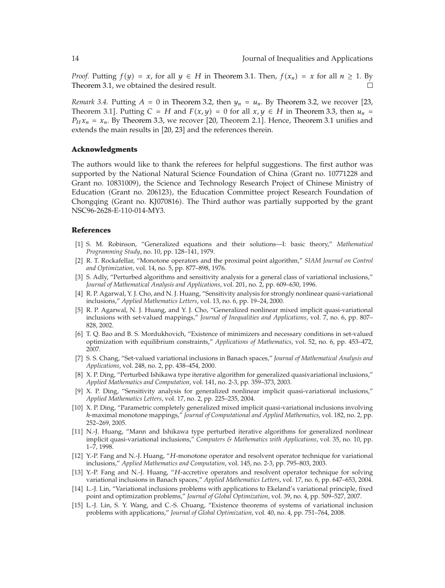*Proof.* Putting  $f(y) = x$ , for all  $y \in H$  in Theorem 3.1. Then,  $f(x_n) = x$  for all  $n \ge 1$ . By Theorem 3.1, we obtained the desired result.

*Remark 3.4.* Putting  $A = 0$  in Theorem 3.2, then  $y_n = u_n$ . By Theorem 3.2, we recover [23, Theorem 3.1]. Putting  $C = H$  and  $F(x, y) = 0$  for all  $x, y \in H$  in Theorem 3.3, then  $u_n = P(x, x) = x$ . By Theorem 3.3, we recover [20] Theorem 2.11. Hence, Theorem 3.1 unifies and  $P_Hx_n = x_n$ . By Theorem 3.3, we recover [20, Theorem 2.1]. Hence, Theorem 3.1 unifies and extends the main results in [20, 23] and the references therein.

#### **Acknowledgments**

The authors would like to thank the referees for helpful suggestions. The first author was supported by the National Natural Science Foundation of China (Grant no. 10771228 and Grant no. 10831009, the Science and Technology Research Project of Chinese Ministry of Education (Grant no. 206123), the Education Committee project Research Foundation of Chongqing (Grant no. KJ070816). The Third author was partially supported by the grant NSC96-2628-E-110-014-MY3.

#### **References**

- 1 S. M. Robinson, "Generalized equations and their solutions—I: basic theory," *Mathematical Programming Study*, no. 10, pp. 128–141, 1979.
- 2 R. T. Rockafellar, "Monotone operators and the proximal point algorithm," *SIAM Journal on Control and Optimization*, vol. 14, no. 5, pp. 877–898, 1976.
- [3] S. Adly, "Perturbed algorithms and sensitivity analysis for a general class of variational inclusions," *Journal of Mathematical Analysis and Applications*, vol. 201, no. 2, pp. 609–630, 1996.
- 4 R. P. Agarwal, Y. J. Cho, and N. J. Huang, "Sensitivity analysis for strongly nonlinear quasi-variational inclusions," *Applied Mathematics Letters*, vol. 13, no. 6, pp. 19–24, 2000.
- [5] R. P. Agarwal, N. J. Huang, and Y. J. Cho, "Generalized nonlinear mixed implicit quasi-variational inclusions with set-valued mappings," *Journal of Inequalities and Applications*, vol. 7, no. 6, pp. 807– 828, 2002.
- 6 T. Q. Bao and B. S. Mordukhovich, "Existence of minimizers and necessary conditions in set-valued optimization with equilibrium constraints," *Applications of Mathematics*, vol. 52, no. 6, pp. 453–472, 2007.
- 7 S. S. Chang, "Set-valued variational inclusions in Banach spaces," *Journal of Mathematical Analysis and Applications*, vol. 248, no. 2, pp. 438–454, 2000.
- [8] X. P. Ding, "Perturbed Ishikawa type iterative algorithm for generalized quasivariational inclusions," *Applied Mathematics and Computation*, vol. 141, no. 2-3, pp. 359–373, 2003.
- 9 X. P. Ding, "Sensitivity analysis for generalized nonlinear implicit quasi-variational inclusions," *Applied Mathematics Letters*, vol. 17, no. 2, pp. 225–235, 2004.
- 10 X. P. Ding, "Parametric completely generalized mixed implicit quasi-variational inclusions involving *h*-maximal monotone mappings," *Journal of Computational and Applied Mathematics*, vol. 182, no. 2, pp. 252–269, 2005.
- 11 N.-J. Huang, "Mann and Ishikawa type perturbed iterative algorithms for generalized nonlinear implicit quasi-variational inclusions," *Computers & Mathematics with Applications*, vol. 35, no. 10, pp. 1–7, 1998.
- 12 Y.-P. Fang and N.-J. Huang, "*H*-monotone operator and resolvent operator technique for variational inclusions," *Applied Mathematics and Computation*, vol. 145, no. 2-3, pp. 795–803, 2003.
- 13 Y.-P. Fang and N.-J. Huang, "*H*-accretive operators and resolvent operator technique for solving variational inclusions in Banach spaces," *Applied Mathematics Letters*, vol. 17, no. 6, pp. 647–653, 2004.
- [14] L.-J. Lin, "Variational inclusions problems with applications to Ekeland's variational principle, fixed point and optimization problems," *Journal of Global Optimization*, vol. 39, no. 4, pp. 509–527, 2007.
- [15] L.-J. Lin, S. Y. Wang, and C.-S. Chuang, "Existence theorems of systems of variational inclusion problems with applications," *Journal of Global Optimization*, vol. 40, no. 4, pp. 751–764, 2008.